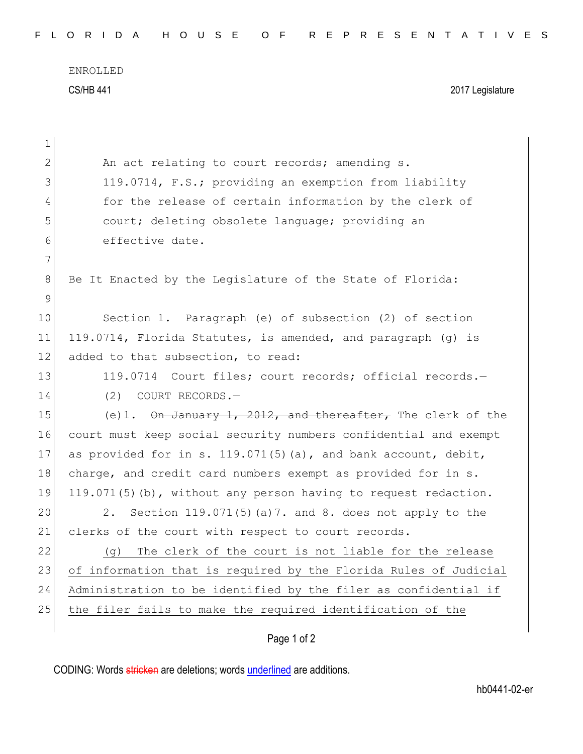ENROLLED CS/HB 441 2017 Legislature

| 1            |                                                                  |
|--------------|------------------------------------------------------------------|
| $\mathbf{2}$ | An act relating to court records; amending s.                    |
| 3            | 119.0714, F.S.; providing an exemption from liability            |
| 4            | for the release of certain information by the clerk of           |
| 5            | court; deleting obsolete language; providing an                  |
| 6            | effective date.                                                  |
| 7            |                                                                  |
| 8            | Be It Enacted by the Legislature of the State of Florida:        |
| 9            |                                                                  |
| 10           | Section 1. Paragraph (e) of subsection (2) of section            |
| 11           | 119.0714, Florida Statutes, is amended, and paragraph (g) is     |
| 12           | added to that subsection, to read:                               |
| 13           | 119.0714 Court files; court records; official records.-          |
| 14           | (2)<br>COURT RECORDS.-                                           |
| 15           | (e)1. On January 1, 2012, and thereafter, The clerk of the       |
| 16           | court must keep social security numbers confidential and exempt  |
| 17           | as provided for in s. 119.071(5)(a), and bank account, debit,    |
| 18           | charge, and credit card numbers exempt as provided for in s.     |
| 19           | 119.071(5)(b), without any person having to request redaction.   |
| 20           | Section 119.071(5) (a) 7. and 8. does not apply to the<br>2.     |
| 21           | clerks of the court with respect to court records.               |
| 22           | The clerk of the court is not liable for the release<br>(g)      |
| 23           | of information that is required by the Florida Rules of Judicial |
| 24           | Administration to be identified by the filer as confidential if  |
| 25           | the filer fails to make the required identification of the       |
|              | Page 1 of 2                                                      |
|              |                                                                  |

CODING: Words stricken are deletions; words underlined are additions.